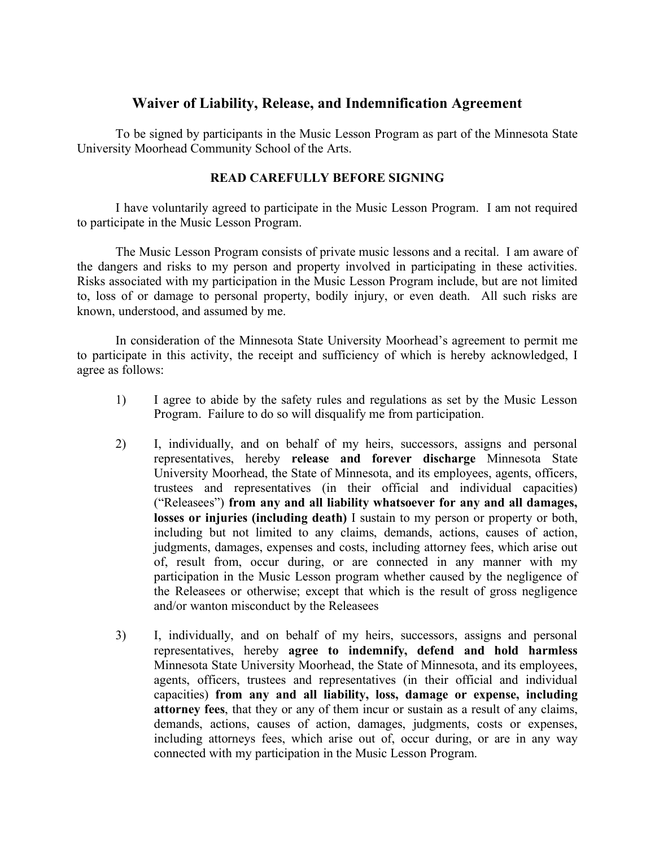## **Waiver of Liability, Release, and Indemnification Agreement**

To be signed by participants in the Music Lesson Program as part of the Minnesota State University Moorhead Community School of the Arts.

## **READ CAREFULLY BEFORE SIGNING**

I have voluntarily agreed to participate in the Music Lesson Program. I am not required to participate in the Music Lesson Program.

The Music Lesson Program consists of private music lessons and a recital. I am aware of the dangers and risks to my person and property involved in participating in these activities. Risks associated with my participation in the Music Lesson Program include, but are not limited to, loss of or damage to personal property, bodily injury, or even death. All such risks are known, understood, and assumed by me.

In consideration of the Minnesota State University Moorhead's agreement to permit me to participate in this activity, the receipt and sufficiency of which is hereby acknowledged, I agree as follows:

- 1) I agree to abide by the safety rules and regulations as set by the Music Lesson Program. Failure to do so will disqualify me from participation.
- 2) I, individually, and on behalf of my heirs, successors, assigns and personal representatives, hereby **release and forever discharge** Minnesota State University Moorhead, the State of Minnesota, and its employees, agents, officers, trustees and representatives (in their official and individual capacities) ("Releasees") **from any and all liability whatsoever for any and all damages, losses or injuries (including death)** I sustain to my person or property or both, including but not limited to any claims, demands, actions, causes of action, judgments, damages, expenses and costs, including attorney fees, which arise out of, result from, occur during, or are connected in any manner with my participation in the Music Lesson program whether caused by the negligence of the Releasees or otherwise; except that which is the result of gross negligence and/or wanton misconduct by the Releasees
- 3) I, individually, and on behalf of my heirs, successors, assigns and personal representatives, hereby **agree to indemnify, defend and hold harmless** Minnesota State University Moorhead, the State of Minnesota, and its employees, agents, officers, trustees and representatives (in their official and individual capacities) **from any and all liability, loss, damage or expense, including attorney fees**, that they or any of them incur or sustain as a result of any claims, demands, actions, causes of action, damages, judgments, costs or expenses, including attorneys fees, which arise out of, occur during, or are in any way connected with my participation in the Music Lesson Program.